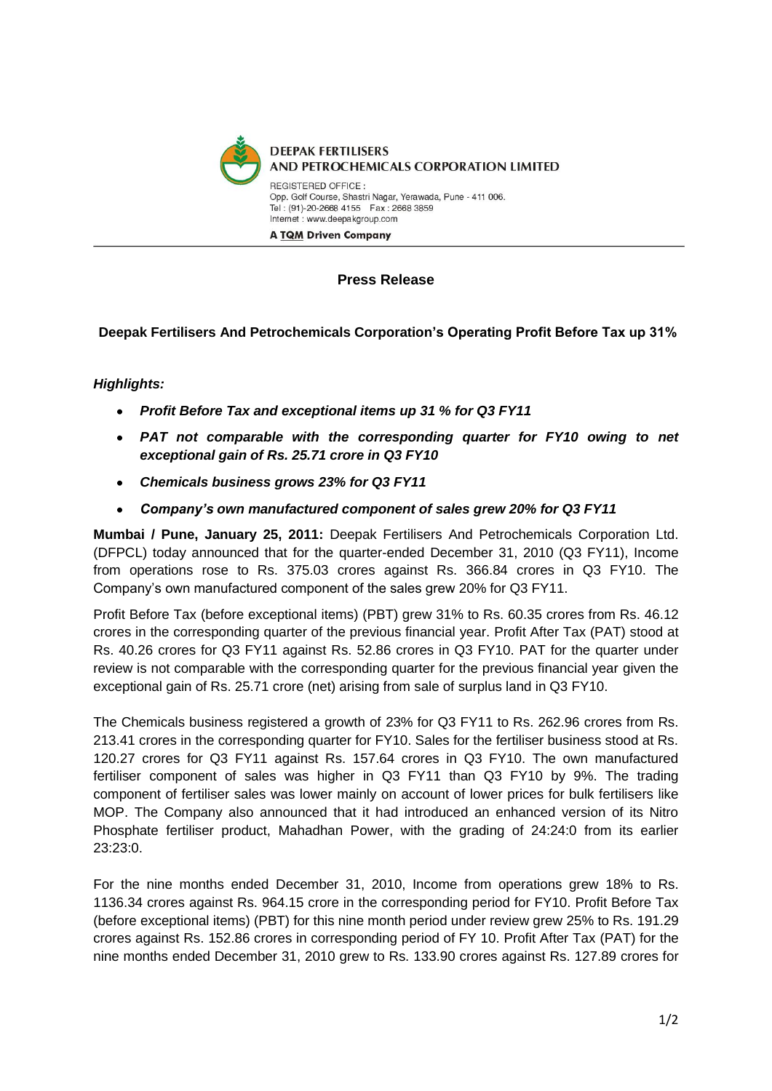

## **Press Release**

**Deepak Fertilisers And Petrochemicals Corporation's Operating Profit Before Tax up 31%**

## *Highlights:*

- *Profit Before Tax and exceptional items up 31 % for Q3 FY11*
- $\bullet$ *PAT not comparable with the corresponding quarter for FY10 owing to net exceptional gain of Rs. 25.71 crore in Q3 FY10*
- *Chemicals business grows 23% for Q3 FY11*  $\bullet$
- *Company's own manufactured component of sales grew 20% for Q3 FY11*

**Mumbai / Pune, January 25, 2011:** Deepak Fertilisers And Petrochemicals Corporation Ltd. (DFPCL) today announced that for the quarter-ended December 31, 2010 (Q3 FY11), Income from operations rose to Rs. 375.03 crores against Rs. 366.84 crores in Q3 FY10. The Company's own manufactured component of the sales grew 20% for Q3 FY11.

Profit Before Tax (before exceptional items) (PBT) grew 31% to Rs. 60.35 crores from Rs. 46.12 crores in the corresponding quarter of the previous financial year. Profit After Tax (PAT) stood at Rs. 40.26 crores for Q3 FY11 against Rs. 52.86 crores in Q3 FY10. PAT for the quarter under review is not comparable with the corresponding quarter for the previous financial year given the exceptional gain of Rs. 25.71 crore (net) arising from sale of surplus land in Q3 FY10.

The Chemicals business registered a growth of 23% for Q3 FY11 to Rs. 262.96 crores from Rs. 213.41 crores in the corresponding quarter for FY10. Sales for the fertiliser business stood at Rs. 120.27 crores for Q3 FY11 against Rs. 157.64 crores in Q3 FY10. The own manufactured fertiliser component of sales was higher in Q3 FY11 than Q3 FY10 by 9%. The trading component of fertiliser sales was lower mainly on account of lower prices for bulk fertilisers like MOP. The Company also announced that it had introduced an enhanced version of its Nitro Phosphate fertiliser product, Mahadhan Power, with the grading of 24:24:0 from its earlier 23:23:0.

For the nine months ended December 31, 2010, Income from operations grew 18% to Rs. 1136.34 crores against Rs. 964.15 crore in the corresponding period for FY10. Profit Before Tax (before exceptional items) (PBT) for this nine month period under review grew 25% to Rs. 191.29 crores against Rs. 152.86 crores in corresponding period of FY 10. Profit After Tax (PAT) for the nine months ended December 31, 2010 grew to Rs. 133.90 crores against Rs. 127.89 crores for